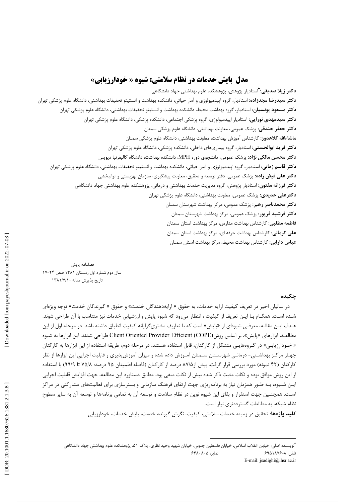## مدل ِ پایش خدمات در نظام سلامتی: شیوه « خودارزیابی»

**دکتر ژیلا صدیقی:\***استادیار پژوهش، پژوهشکده علوم بهداشتی جهاد دانشگاهی **دکتر سیدرضا مجدزاده**: استادیار، گروه اپیدمیولوژی و آمار حیاتی، دانشکده بهداشت و انستیتو تحقیقات بهداشتی، دانشگاه علوم پزشکی تهران دکتر مسعود یونسیان: استادیار، گروه بهداشت محیط، دانشکده بهداشت و انستیتو تحقیقات بهداشتی، دانشگاه علوم پزشکی تهران **دکتر سیدمهدی نورایی**: استادیار اپیدمیولوژی، گروه پزشکی اجتماعی، دانشکده پزشکی، دانشگاه علوم پزشکی تهران **دکتر جعفر جندقی**: پزشک عمومی، معاونت بهداشتی، دانشگاه علوم پزشکی سمنان **ماشاءالله كلاهدوز:** كارشناس آموزش بهداشت، معاونت بهداشتى، دانشگاه علوم پزشكى سمنان **دکتر فرید ابوالحسنی:** استادیار، گروه بیماریهای داخلی، دانشکده پزشکی، دانشگاه علوم پزشکی تهران **دکتر محسن مالکی نژاد**: پزشک عمومی، دانشجوی دوره MPH، دانشکده بهداشت، دانشگاه کالیفرنیا دیویس **دکتر قاسم زمانی:** استادیار، گروه اییدمیولوژی و آمار حیاتی، دانشکده بهداشت و انستیتو تحقیقات بهداشتی، دانشگاه علوم پزشکی تهران **دکتر علی فیض زاده:** پزشک عمومی، دفتر توسعه و تحقیق، معاونت پیشگیری، سازمان بهزیستی و توانبخشی **دکتر فرزانه مفتون:** استادیار پژوهش، گروه مدیریت خدمات بهداشتی و درمانی، پژوهشکده علوم بهداشتی جهاد دانشگاهی **دکترعلی حدیدی:** پزشک عمومی، معاونت بهداشتی، دانشگاه علوم پزشکی تهران **دکتر محمدناصر رهبر:** پزشک عمومی، مرکز بهداشت شهرستان سمنان **دکتر فرشید فریور:** پزشک عمومی، مرکز بهداشت شهرستان سمنان فاطمه مطلبی: کارشناس بهداشت مدارس، مرکز بهداشت استان سمنان علی کرمانی: کارشناس بهداشت حرفه ای، مرکز بهداشت استان سمنان عباس دارابی: کارشناس بهداشت محیط، مرکز بهداشت استان سمنان

فصلنامه پايش سال دوم شماره اول زمستان ۱۳۸۱ صص ۲۴-۱۷ تاریخ پذیرش مقاله:۱۳۸۱/۷/۱۰

## چکىدە

در سالیان اخیر در تعریف کیفیت ارایه خدمات، به حقوق « ارایهدهندگان خدمت» و حقوق « گیرندگان خدمت» توجه ویژهای شـده اسـت. همگـام بـا ايـن تعريف از كيفيت ، انتظار مىرود كه شيوه پايش و ارزشيابي خدمات نيز متناسب با آن طراحي شوند. هـدف ايــن مقالــه، معرفــي شيوهاي از «پايش» است كه با تعاريف مشتري5رايانه كيفيت انطباق داشته باشد. در مرحله اول از اين مطالعـه، ابزارهاي «پايش»، بر اساس روش(Client Oriented Provider Efficient (COPE طراحي شدند. اين ابزارها به شيوه « خـودارزیابـی» در گـروههایـی متشکل از کارکنان، قابل استفاده هستند. در مرحله دوم، طریقه استفاده از این ابزارها به کارکنان چهـار مركـز بهداشـتي- درمانـي شهرسـتان سـمنان آمـوزش داده شده و ميزان آموزش.پذيري و قابليت اجرايي اين ابزارها از نظر كاركنان (۴۲ نمونه) مورد بررسي قرار گرفت. بيش از۷/۵ درصد از كاركنان (فاصله اطمينان ۹۵ درصد: ۷۵/۸ تا ۹۹/۹) با استفاده از این روش موافق بوده و نکات مثبت ذکر شده بیش از نکات منفی بود. مطابق دستاورد این مطالعه، جهت افزایش قابلیت اجرایی ایـن شـیوه، بـه طـور همزمان نیاز به برنامهریزی جهت ارتقای فرهنگ سازمانی و بسترسازی برای فعالیتهای مشارکتی در مراکز است. همچنـین جهت استقرار و بقای این شیوه نوین در نظام سلامت و توسعه آن به تمامی برنامهها و توسعه آن به سایر سطوح نظام شبکه، به مطالعات گستردهتری نیاز است.

**كليد واژهها**: تحقيق در زمينه خدمات سلامتي، كيفيت، نگرش گيرنده خدمت، پايش خدمات، خودارزيابي

<sup>ث</sup>نويسنده اصلي: خيابان انقلاب اسلامي، خيابان فلسطين جنوبي، خيابان شهيد وحيد نظري، پلاک ۵۱، پژوهشکده علوم بهداشتى جهاد دانشگاهى نمار: ۶۴۸۰۸۰۵ تلفن: ۶۹۵۱۸۷۶-۸ E-mail: jsadighi@ihsr.ac.ir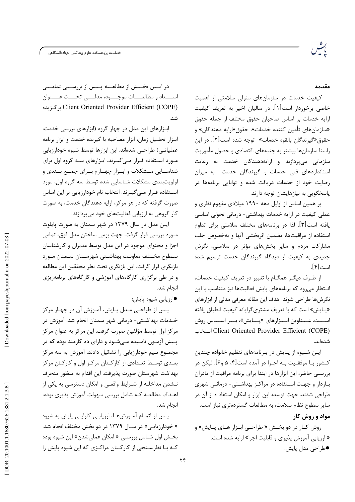مقدمه

کیفیت خدمات در سازمانهای متولی سلامتی از اهمیت خاصی برخوردار است[۱]. در سالیان اخیر به تعریف کیفیت ارايه خدمات بر اساس صاحبان حقوق مختلف از جمله حقوق «سازمانهای تأمین کننده خدمات»، حقوق«ارایه دهندگان» و حقوق«گیرندگان بالقوه خدمات» توجه شده است[۲]. در این راستا سازمانها بيشتر به جنبههاى اقتصادى و حصول مأموريت سازمانی می بردازند و ارایهدهندگان خدمت به رعایت استانداردهای فنی خدمات و گیرندگان خدمت به میزان رضایت خود از خدمات دریافت شده و توانایی برنامهها در یاسخگویی به نیازهایشان توجه دارند.

بر همین اساس از اوایل دهه ۱۹۹۰ میلادی مفهوم نظری و عملی کیفیت در ارایه خدمات بهداشتی- درمانی تحولی اساسی یافته است[۳]. لذا در برنامههای مختلف سلامتی برای تداوم استفاده از مراقبتها، تضمین اثربخشی آنها و بهخصوص جلب مشارکت مردم و سایر بخشهای مؤثر در سلامتی، نگرش جدیدی به کیفیت از دیدگاه گیرندگان خدمت ترسیم شده است[۴].

از طـرف دیگـر همگــام با تغییر در تعریف کیفیت خدمات، انتظار می رود که برنامههای پایش فعالیتها نیز متناسب با این نگرشها طراحی شوند. هدف این مقاله معرفی مدلی از ابزارهای «پـایش» است که با تعریف مشتری گرایانه کیفیت انطباق یافته اسست. عسناوین ابسزارهای «پسایش»، بسر اسساس روش Client Oriented Provider Efficient (COPE) انتخاب شدەاند.

ایـن شـیوه از پـایش در بـرنامههای تنظیم خانواده چندین كـشور بـا موفقـيت بـه اجـرا در آمده است[۴، ۵ و۶]. ليكن در بررسـی حاضر، این ابزارها در ابتدا برای برنامه مراقبت از مادران باردار و جهت استفاده در مراكز بهداشتى- درمانى شهرى طراحی شدند. جهت توسعه این ابزار و امکان استفاد ه از آن در سایر سطوح نظام سلامت، به مطالعات گستردهتری نیاز است. مواد و روش کار

روش کــار در دو بخــش «طراحــی ابــزار هــای پــایش» و « ارزيابي آموزش پذيري و قابليت اجرا» ارايه شده است. ●طراحي مدل پايش:

در ایسن بخسش از مطالعسه پسس از بررسسی تمامسی استناد و مطالعنات موجسود، مدلسی تحست عسنوان Client Oriented Provider Efficient (COPE) بركزيده

ابـزارهای این مدل در چهار گروه (ابزارهای بررسی خدمت، ابـزار تحلـيل زمان، ابزار مصاحبه با گيرنده خدمت و ابزار برنامه عملیاتی) طراحـی شدهاند. این ابزارها توسط شیوه خودارزیابی مـورد اسـتفاده قـرار مـىگيـرند. ابـزارهاى سـه گروه اول براى شناســایی مــشکلات و ابــزار چهــارم بــرای جمــع بــندی و اولويتبندي مشكلات شناسايي شده توسط سه گروه اول، مورد استفاده قرار مےگیرند. انتخاب نام خودارزیابی بر این اساس صورت گرفته که در هر مرکز، ارایه دهندگان خدمت، به صورت کار گروهی به ارزیابی فعالیتهای خود میپردازند.

ایـن مدل در سال ۱۳۷۹ در شهر سمنان به صورت پایلوت مـورد بررسي قرار گرفت. جهت بومي ساختن مدل فوق، تمامي اجزا و محتوای موجود در این مدل توسط مدیران و کارشناسان سطوح مخـتلف معاونـت بهداشـتى شهرسـتان سـمنان مــورد بازنگری قرار گرفت. این بازنگری تحت نظر محققین این مطالعه و در طی برگزاری کارگاههای آموزشی و کارگاههای برنامهریزی انجام شد.

●ارزيابي شيوه يايش:

پـس از طراحـي مـدل پـايش، آمـوزش آن در چهـار مركز خــدمات بهداشــتي- درماني شهر سمنان انجام شد. آموزش در مرکز اول توسط مؤلفین صورت گرفت. این مرکز به عنوان مرکز پـیش آزمـون نامـیده مـیشـود و دارای ده کارمند بوده که در مجمــوع تــیم خودارزیابی را تشکیل دادند. آموزش به سه مرکز بعـدي توسـط تعـدادي از كاركـنان مركـز اول و كاركنان مركز بهداشت شهرستان صورت پذيرفت. اين اقدام به منظور منحرف نــشدن مداخلــه از شــرايط واقعــي و امكان دسترسي به يكي از اهـداف مطالعــه كــه شامل بررسي سهولت آموزش يذيري بوده، انحام شد.

پـس از اتمــام آمــوزشهــا، ارزيابــي كارايــي پايش به شيوه « خودارزیابے» در سـال ۱۳۷۹ در دو بخش مختلف انجام شد. بخـش اول شــامل بررســي « امكان عملي شدن» اين شيوه بوده کـه بـا نظرسـنجي از کارکـنان مراکـزي که اين شيوه پايش را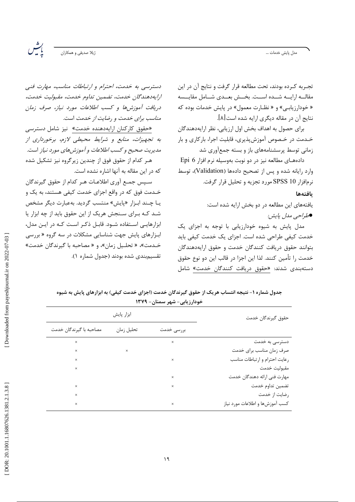ژیلا صدیقی و همکاران

يكسر

تجـربه كـرده بودند، تحت مطالعه قرار گرفت و نتايج آن در اين مقالسه ارايسه شسده اسست. بخسش بعسدي شسامل مقايسسه « خودارزیابے» و « نظـارت معمول» در پایش خدمات بوده که نتايج آن در مقاله ديگري ارايه شده است[۸].

برای حصول به اهداف بخش اول ارزیابی، نظر ارایهدهندگان خـدمت در خـصوص آموزشپذیری، قابلیت اجرا، بارکاری و بار زمانی توسط پرسشنامههای باز و بسته جمعآوری شد

دادههای مطالعه نیز در دو نوبت بهوسیله نرم افزار Epi 6 وارد رايانه شده و پس از تصحيح دادهها (Validation)، توسط نرمافزار SPSS 10 مورد تجزیه و تحلیل قرار گرفت.

بافتهها

یافتههای این مطالعه در دو بخش ارایه شده است: ●طراحبي مدل پايشن:

مدل پایش به شیوه خودارزیابی با توجه به اجزای یک خدمت کیفی طراحی شده است. اجزای یک خدمت کیفی باید بتوانند حقوق دريافت كنندگان خدمت و حقوق ارايهدهندگان خدمت ٫ا تأمین کنند. لذا این اجزا د٫ قالب این دو نوع حقوق دستهبندی شدند: «حقوق دریافت کنندگان خدمت» شامل

دسترسی به خدمت، احترام و ارتباطات مناسب، مهارت فنی ارايەدھندگان خدمت، تضمين تداوم خدمت، مقبوليت خدمت، دریافت آموزش ها و کسب اطلاعات مورد نیاز، صرف زمان مناسب برای خدمت و رضایت از خدمت است.

«حقوق كاركنان ارايهدهنده خدمت» نيز شامل *دسترسى* به تجهیزات، منابع و شرایط محیطی لازم، برخورداری از مدیریت صحیح و کسب اطلاعات و آموزشهای مورد نیاز است. هـر كدام از حقوق فوق از چندين زيرگروه نيز تشكيل شده كه در اين مقاله به آنها اشاره نشده است.

سـپس جمـع آوري اطلاعـات هـر كدام از حقوق گيرندگان خــدمت فوق که در واقع اجزای خدمت کیفی هستند، به یک و يـا چـند ابـزار «پايش» منتسب گرديد. بهعبارت ديگر مشخص شد کـه بـرای سـنجش هریک از این حقوق باید از چه ابزار یا ابزارهایی استفاده شود. قابل ذکر است که در این مدل، ابزارهای پایش جهت شناسایی مشکلات در سه گروه «بررسی خـدمت»، « تحلـيل زمان»، و « مصاحبه با گيرندگان خدمت» تقسیم بندی شده بودند (جدول شماره ۱).

> جدول شماره ۱- نتیجه انتساب هر یک از حقوق گیرندگان خدمت (اجزای خدمت کیفی) به ابزارهای پایش به شیوه خودارزیابی- شهر سمنان- ۱۳۷۹

| حقوق گيرندگان خدمت              |            | ابزار پايش |                         |  |  |  |  |
|---------------------------------|------------|------------|-------------------------|--|--|--|--|
|                                 | بررسى خدمت | تحليل زمان | مصاحبه با گیرندگان خدمت |  |  |  |  |
| دسترسی به خدمت                  | $\times$   |            | $\times$                |  |  |  |  |
| صرف زمان مناسب براي خدمت        |            | $\times$   | $\times$                |  |  |  |  |
| رعايت احترام وارتباطات مناسب    | $\times$   |            | $\times$                |  |  |  |  |
| مقبوليت خدمت                    |            |            | $\times$                |  |  |  |  |
| مهارت فني ارائه دهندگان خدمت    | $\times$   |            |                         |  |  |  |  |
| تضمين تداوم خدمت                | $\times$   |            | $\times$                |  |  |  |  |
| رضایت از خدمت                   |            |            | $\times$                |  |  |  |  |
| كسب آموزشها و اطلاعات مورد نياز | $\times$   |            | ×                       |  |  |  |  |
|                                 |            |            |                         |  |  |  |  |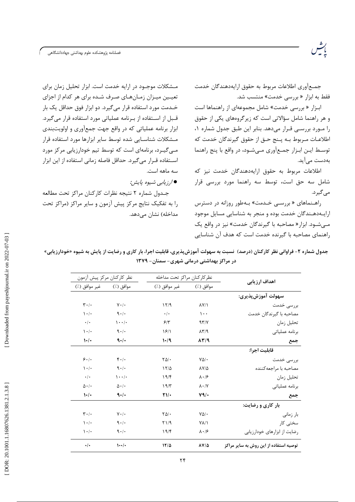جمعآوري اطلاعات مربوط به حقوق ارايهدهندگان خدمت فقط به ابزار «بررسی خدمت» منتسب شد.

رشہ<br>بینہ

ابزار «بررسی خدمت» شامل مجموعهای از راهنماها است و هر راهنما شامل سؤالاتی است که زیرگروههای یکی از حقوق را مورد بررسی قرار میدهد. بنابر این طبق جدول شماره ۰۱ اطلاعـات مـربوط بـه پـنج حـق از حقوق گيرندگان خدمت كه توسط ایـن ابـزار جمـعآوری مـیشـود، در واقع با پنج راهنما بەدست مے آید.

اطلاعات مربوط به حقوق ارايهدهندگان خدمت نيز كه شامل سه حق است، توسط سه راهنما مورد بررسی قرار مے گیرد.

راهـنماهای «بررسـی خـدمت» بـهطور روزانه در دسترس ارایهدهـندگان خدمت بوده و منجر به شناسایی مسایل موجود مے شـود. ابزار « مصاحبه با گیرندگان خدمت» نیز در واقع یک راهنمای مصاحبه با گیرنده خدمت است که هدف آن شناسایی

مـشكلات موجــود در ارايه خدمت است. ابزار تحليل زمان براي تعیـین میـزان زمـانهـای صـرف شـده برای هر کدام از اجزای خــدمت مورد استفاده قرار می گیرد. دو ابزار فوق حداقل یک بار قبل از استفاده از برنامه عملیاتی مورد استفاده قرار می گیرد. ابزار برنامه عملیاتی که در واقع جهت جمعآوری و اولویتبندی مـشكلات شناسـايي شده توسط ساير ابزارها مورد استفاده قرار مــی گیــرد، برنامهای است که توسط تیم خودارزیابی مرکز مورد استفاده قـرار مى گيرد. حداقل فاصله زمانى استفاده از اين ابزار سه ماهه است.

● /رزيابي شيوه پايش:

جـدول شماره ٢ نتيجه نظرات كاركنان مراكز تحت مطالعه را به تفکیک نتایج مرکز پیش آزمون و سایر مراکز (مراکز تحت مداخله) نشان مے دهد.

جدول شماره ۲- فراوانی نظر کارکنان (درصد) نسبت به سهولت آموزش پذیری، قابلیت اجرا، بار کاری و رضایت از پایش به شیوه «خودارزیابی» در مراکز بهداشتی درمانی شهری- سمنان- ۱۳۷۹

|                                        | نظر كاركنان مراكز تحت مداخله |                    | نظر كاركنان مركز پيش آزمون |                                 |
|----------------------------------------|------------------------------|--------------------|----------------------------|---------------------------------|
| اهداف ارزيابي                          | موافق (٪)                    | غير موافق (٪)      |                            | موافق (٪) خير موافق (٪)         |
| سهولت آموزشپذيري:                      |                              |                    |                            |                                 |
| بررسی خدمت                             | $\lambda Y/\lambda$          | 15/9               | $V \cdot / \cdot$          | $\mathbf{r} \cdot \mathbf{r}$   |
| مصاحبه با گیرندگان خدمت                | $\mathcal{L}$ .              | $\cdot$ / $\cdot$  | 9.1                        | $\mathcal{N} \cdot \mathcal{N}$ |
| تحليل زمان                             | 97/                          | 5/5                | $\cdot \cdot \cdot$        | $\cdot$ / $\cdot$               |
| برنامه عملياتي                         | $\lambda \Upsilon / 9$       | 19/1               | 9.1                        | $\mathcal{N} \cdot \mathcal{N}$ |
| جمع                                    | $\lambda Y$ /9               | 1.4                | 9.1                        | $\cdot$ .                       |
| قابليت اجرا:                           |                              |                    |                            |                                 |
| بررسی خدمت                             | $Y\Delta/\cdot$              | $\Gamma \Delta$ /. | F.                         | 5.1.                            |
| مصاحبه با مراجعه كننده                 | <b>AYIA</b>                  | 17/2               | 9.1                        | $\mathcal{N} \cdot \mathcal{N}$ |
| تحليل زمان                             | $\lambda \cdot 19$           | 19/5               | $\cdot \cdot \cdot$        | $\cdot$ / $\cdot$               |
| برنامه عملياتي                         | $\lambda \cdot / Y$          | 19/T               | $\Delta \cdot / \cdot$     | $\Delta \cdot / \cdot$          |
| جمع                                    | V9/                          | $\Upsilon$         | 9.1                        | $\mathcal{N}$                   |
| بار کاری و رضایت:                      |                              |                    |                            |                                 |
| بار زمانی                              | $Y\Delta/\cdot$              | $\Gamma \Delta$ /. | $V \cdot / \cdot$          | $\mathbf{r} \cdot \mathbf{r}$   |
| سختی کار                               | $Y\Lambda/1$                 | Y1/9               | 9.1                        | $\mathcal{N} \cdot / \cdot$     |
| رضایت از ابزارهای خودارزیابی           | $\lambda \cdot 19$           | 19/5               | 9.1                        | $\mathcal{N} \cdot \mathcal{N}$ |
| توصیه استفاده از این روش به سایر مراکز | $\Delta V/\Delta$            | 17/2               | $\cdot$ $\cdot$ $\cdot$    | $\cdot$ / $\cdot$               |
|                                        |                              |                    |                            |                                 |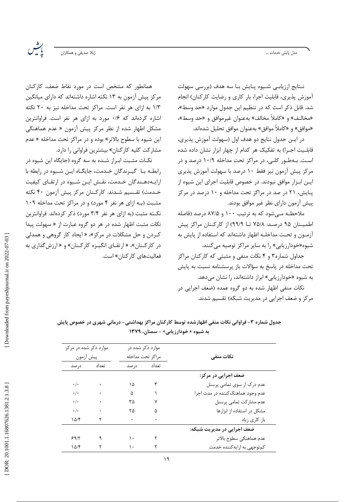ژیلا صدیقی و همکاران

رينس<br>پوس

نـتايج ارزيابـي شـيوه پـايش بـا سه هدف (بررسي سهولت آموزش پذیری، قابلیت اجرا، بار کاری و رضایت کارکنان) انجام شد. قابل ذکر است که در تنظیم این جدول موارد «حد وسط»، «مخالـف» و «كاملاً مخالف» بهعنوان غيرموافق و «حد وسط»، «موافق» و «كاملاً موافق» بهعنوان موافق تحليل شدهاند.

در ايــن جدول نتايج دو هدف اول (سهولت آموزش پذيري، قابلـیت اجـرا) به تفکیک هر کدام از چهار ابزار نشان داده شده است. بـهطـور کلـی، در مراکز تحت مداخله ۱۰/۹ درصد و در مرکز پیش آزمون نیز فقط ۱۰ درصد با سهولت آموزش پذیری ایـن ابـزار موافق نبودند. در خصوص قابلیت اجرای این شیوه از يايش، ٢١ در صد در مراكز تحت مداخله و ١٠ درصد در مركز پیش آزمون دارای نظر غیر موافق بودند.

ملاحظـه مـیشود که به ترتیب ۱۰۰ و ۸۷/۵ درصد (فاصله اطمیـنان ۹۵ درصـد: ۷۵/۸ تــا ۹۹/۹) از کارکـنان مراکز پیش آزمون و تحت مداخلـه اظهار داشتهاند كه استفاده از پایش به شیوه«خودارزیابی» را به سایر مراکز توصیه می کنند.

جداول شماره۳ و ۴ نکات منفی و مثبتی که کارکنان مراکز تحت مداخله در پاسخ به سؤالات باز پرسشنامه نسبت به پایش به شیوه «خودارزیابی» ابراز داشتهاند، را نشان می دهد.

نکات منفی اظهار شده به دو گروه عمده (ضعف اجرایی در مرکز و ضعف اجرایی در مدیریت شبکه) تقسیم شدند.

همانطور که مشخص است در مورد نقاط ضعف، کارکنان مرکز پیش آزمون به ۱۳ نکته اشاره داشتهاند که دارای میانگین ١/٣ به ازای هر نفر است. مراکز تحت مداخله نیز به ٢٠ نکته اشاره کردهاند که ۰/۶ مورد به ازای هر نفر است. فراوانترین مشکل اظهار شده از نظر مرکز پیش آزمون « عدم هماهنگی این شیوه با سطوح بالاتر» بوده و در مراکز تحت مداخله « عدم مشارکت کلیه کارکنان» بیشترین فراوانی را دارد.

نکـات مثـبت ابـراز شـده به سه گروه (جایگاه این شیوه در رابطه با گیرندگان خدمت، جایگاه این شیوه در رابطه با ارایـهدهـندگان خـدمت، نقـش ایـن شـیوه در ارتقـای کیفیت خـدمت) تقـسیم شـدند. کارکـنان مرکز پیش آزمون ۴۰ نکته مثـبت (بـه ازای هر نفر ۴ مورد) و در مراکز تحت مداخله ۱۰۹ نکـته مثبت (به ازای هر نفر ۳/۴ مورد) ذکر کردهاند. فراوانترین نكات مثبت اظهار شده در هر دو گروه عبارت از « سهولت پيدا کردن و حل مشکلات در مرکز»، « ایجاد کار گروهی و همدلی در کارکـنان»، «ارتقـای انگیـزه کارکـنان» و «ارزش گذاری به فعالیتهای کارکنان» است.

|                                   |                  | موارد ذکر شده در | موارد ذکر شده در مرکز |                   |
|-----------------------------------|------------------|------------------|-----------------------|-------------------|
| نكات منفي                         | مراكز تحت مداخله |                  | پيش آزمون             |                   |
|                                   | تعداد            | در صد            | تعداد                 | در صد             |
| ضعف اجرایی در مرکز:               |                  |                  |                       |                   |
| عدم درک از سوی تمامی پرسنل        | ٣                | ۱۵               |                       | $\cdot$ / $\cdot$ |
| عدم وجود هماهنگ کننده در مدت اجرا |                  | ۵                | $\bullet$             | $\cdot$ / $\cdot$ |
| عدم مشاركت تمامى پرسنل            | ٧                | ۳۵               | ٠                     | $\cdot$ / $\cdot$ |
| مشکل در استفاده از ابزارها        | ۵                | ٢۵               |                       | $\cdot$ / $\cdot$ |
| بار كارى زياد                     |                  | ۰                | ٢                     | ۱۵/۴              |
| ضعف اجرایی در مدیریت شبکه:        |                  |                  |                       |                   |
| عدم هماهنگی سطوح بالاتر           |                  | ۱۰               | ٩                     | 59/5              |
| کم توجهی به ارایه کننده خدمت      | ۲                | ١.               | ٢                     | ۱۵/۴              |

جدول شماره ۳- فراوانی نکات منفی اظهارشده توسط کارکنان مراکز بهداشتی- درمانی شهری در خصوص پایش به شیوه « خودارزیابی» - سمنان، ۱۳۷۹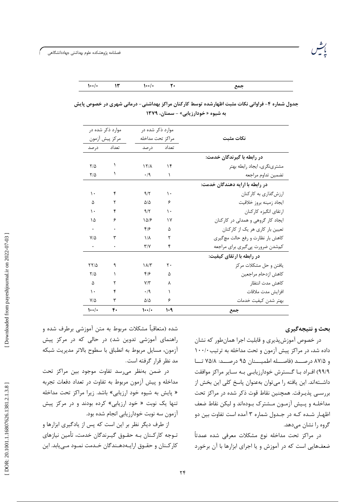|  | یو د |  | حمع<br>. .<br>the control of the control of |
|--|------|--|---------------------------------------------|
|  |      |  |                                             |

| جدول شماره ۴ – فراوانی نکات مثبت اظهارشده توسط کارکنان مراکز بهداشتی – درمانی شهری در خصوص پایش |  |
|-------------------------------------------------------------------------------------------------|--|
| <b>به شیوه « خودارز بابر » – سمنان، ۱۳۷۹</b>                                                    |  |

| موارد ذکر شده در          |               | موارد ذکر شده در        |            |                                    |
|---------------------------|---------------|-------------------------|------------|------------------------------------|
| مركز پيش آزمون            |               | مراكز تحت مداخله        |            | نكات مثبت                          |
|                           | تعداد درصد    |                         | تعداد درصد |                                    |
|                           |               |                         |            | در رابطه با گیرندگان خدمت:         |
| $\frac{1}{2}$             |               | 15/1                    | ۱۴         | مشترینگری، ایجاد رابطه بهتر        |
| $7/\Delta$                | $\lambda$     | $\cdot$ /9              | ١          | تضمين تداوم مراجعه                 |
|                           |               |                         |            | در رابطه با ارایه دهندگان خدمت:    |
| ١.                        | $\mathcal{F}$ | 9/7                     | ١.         | ارزش گذاری به کارکنان              |
| ۵                         | ٢             | $\Delta/\Delta$         | ۶          | ايجاد زمينه بروز خلاقيت            |
| $\mathcal{L}$             | ۴             | 9/7                     | ١.         | ارتقاى انگيزه كاركنان              |
| ۱۵                        | ۶             | 108                     | ١٧         | ایجاد کار گروهی و همدلی در کارکنان |
| $\bullet$                 |               | ۴۱۶                     | Δ          | تعیین بار کاری هر یک از کارکنان    |
| $V/\Delta$                | ٣             | $1/\lambda$             | ٢          | کاهش بار نظارت و رفع حالت مچگیری   |
| ۰                         |               | $\Upsilon/\Upsilon$     | ۴          | کمشدن ضرورت پیگیری برای مراجعه     |
|                           |               |                         |            | در رابطه با ارتقای کیفیت:          |
| 55/2                      | ٩             | $\lambda/\tau$          | ٢٠         | يافتن وحل مشكلات مركز              |
| $7/\Delta$                | $\lambda$     | ۴۱۶                     | ۵          | كاهش ازدحام مراجعين                |
| ۵                         | ۲             | $Y/\tau$                | λ          | كاهش مدت انتظار                    |
| ١.                        | ۴             | .49                     | ١          | افزايش مدت ملاقات                  |
| $V/\Delta$                | ٣             | $\Delta/\Delta$         | ۶          | بهتر شدن كيفيت خدمات               |
| $1 \cdot \cdot$ / $\cdot$ | ۴٠            | $\cdot$ $\cdot$ $\cdot$ | ۱۰۹        | جمع                                |

## بحث و نتیجهگیری

رشہ<br>بینہ

در خصوص آموزش پذیری و قابلیت اجرا همان طور که نشان داده شد، در مراکز پیش آزمون و تحت مداخله به ترتیب ۱۰۰/۰ و ۸۷/۵ درصـد (فاصـله اطمیــنان ۹۵ درصـد: ۷۵/۸ تـا ۹۹/۹) افـراد بـا گـسترش خودارزيابـي بـه سـاير مراكز موافقت داشــتهاند. این یافته را می توان بهعنوان یاسخ کلی این بخش از بررسـی پذیـرفت. همچنین نقاط قوت ذکر شده در مراکز تحت مداخلـه و پـیش آزمـون مـشترک بـودهاند و لیکن نقاط ضعف اظهـار شـده كـه در جـدول شماره ۳ آمده است تفاوت بين دو گروه را نشان میدهد.

در مراکز تحت مداخله نوع مشکلات معرفی شده عمدتاً ضعفهایی است که در آموزش و یا اجرای ابزارها با آن برخورد

شده (متعاقباً مشکلات مربوط به متن آموزشی برطرف شده و راهنمای آموزشی تدوین شد) در حالی که در مرکز پیش آزمون، مسايل مربوط به انطباق با سطوح بالاتر مديريت شبكه مد نظر قرار گرفته است.

در ضمن بهنظر مى رسد تفاوت موجود بين مراكز تحت مداخله و پیش آزمون مربوط به تفاوت در تعداد دفعات تجربه « پایش به شیوه خود ارزیابی» باشد. زیرا مراکز تحت مداخله تنها یک نوبت « خود ارزیابی» کرده بودند و در مرکز پیش آزمون سه نوبت خودارزيابي انجام شده بود.

از طرف دیگر نظر بر این است که پس از یادگیری ابزارها و تـوجه كاركـنان بـه حقـوق گيـرندگان خدمت، تأمين نيازهاي كاركـنان و حقـوق ارايـهدهـندگان خـدمت نمـود مـىيابد. اين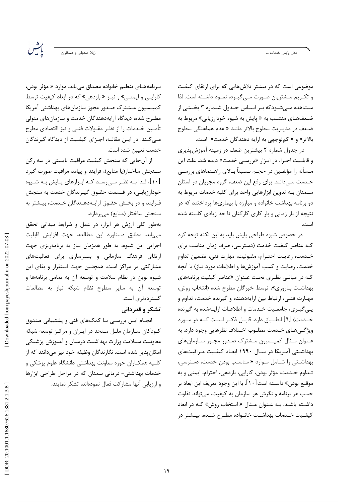ژیلا صدیقی و همکاران

رت<br>پاڪس

موضوعی است که در بیشتر تلاشهایی که برای ارتقای کیفیت و تكريم مشتريان صورت مے گيـرد، نمـود داشـته است. لذا میشاهده می شیودکه بیر اسپاس جندول شیماره ۳ بخیشی از ضعفهای منتسب به « پایش به شیوه خودارزیابی» مربوط به ضعف در مديـريت سطوح بالاتر مانند « عدم هماهنگي سطوح بالاتر» و « كمتوجهي به ارايه دهندگان خدمت» است.

در جدول شماره ٢ بيشترين ضعف در زمينه آموزش پذيري و قابليت اجرا، در ابزار «بررسي خدمت» ديده شد. علت اين مـسأله را مؤلفـين در حجـم نـسبتاً بـالاي راهـنماهاي بررسـي خـدمت مـىدانند. براى رفع اين ضعف، گروه مجريان در استان سـمنان بـه تدوین ابزارهایی واحد برای کلیه خدمات مربوط به دو برنامه بهداشت خانواده و مبارزه با بیماریها پرداختند که در نتیجه از بار زمانی و بار کاری کارکنان تا حد زیادی کاسته شده است.

در خصوص شیوه طراحی پایش باید به این نکته توجه کرد کـه عناصر کیفیت خدمت (دسترسی، صرف زمان مناسب برای خـدمت، رعايـت احتـرام، مقبوليت، مهارت فني، تضمين تداوم خدمت، رضایت و کسب آموزشها و اطلاعات مورد نیاز) با آنچه کـه در مبانـی نظـری تحـت عـنوان «عناصر کیفیت برنامههای بهداشت بـاروري»، توسط خبرگان مطرح شده (انتخاب روش، مهـارت فنــی، ارتباط بین ارایهدهنده و گیرنده خدمت، تداوم و پےگیری، جامعیت خدمات و اطلاعـات ارایـهشده به گیرنده خــدمت) [۹] انطــباق دارد. قابــل ذكــر اســت كــه در مــورد ویژگے هـای خـدمت مطلـوب اخـتلاف نظرهایی وجود دارد. به عنوان مثال كميسيون مشترك صدور مجـوز سـازمانهاى بهداشتی آمریکا در سال ۱۹۹۰ ابعـاد کیفـیت مـراقبتهای بهداشتی را شامل مـوارد « مناسـب بودن خدمت، دسترسی، تـداوم خـدمت، مؤثر بودن، كارايي، بازدهي، احترام، ايمنى و به موقــع بودن» دانسته است[۱۰]. با این وجود تعریف این ابعاد بر حسب هر برنامه و نگرش هر سازمان به کیفیت، می تواند تفاوت داشته باشد. به عنوان مثال « انتخاب روش» کـه در ابعاد كيفـيت خـدمات بهداشـت خانــواده مطــرح شــده، بيــشتر در

برنامههای تنظیم خانواده مصداق می یابد. موارد « مؤثر بودن، کارایی و ایمنی» و نیـز « بازدهی» که در ابعاد کیفیت توسط کمیـسیون مـشترک صـدور مجوز سازمانِهای بهداشتی آمریکا مطـرح شده، دیدگاه ارایهدهندگان خدمت و سازمانهای متولی تأمـين خـدمات را از نظـر مقـولات فنـي و نيز اقتصادي مطرح مـی کـند. در ایـن مقالـه، اجـزای کیفـیت از دیدگاه گیرندگان خدمت تعيين شده است.

از آنجایی که سنجش کیفیت مراقبت بایستی در سه رکن سـنجش ساختار(يا منابع)، فرايند و پيامد مراقبت صورت گيرد [۱۰]، لـذا بـه نظـر مـی رسـد کـه ابـزارهای پـایش بـه شـیوه خودارزيابـي، در قـسمت حقـوق گيـرندگان خدمت به سنجش فـرايند و در بخـش حقـوق ارايـهدهـندگان خـدمت، بيـشتر به سنجش ساختار (منابع) میپردازد.

بهطور کلی ارزش هر ابزار، در عمل و شرایط میدانی تحقق می یابد. مطابق دستاورد این مطالعه، جهت افزایش قابلیت اجرایی این شیوه، به طور همزمان نیاز به برنامهریزی جهت ارتقای فرهنگ سازمانی و بسترسازی برای فعالیتهای مشارکتی در مراکز است. همچنین جهت استقرار و بقای این شیوه نوین در نظام سلامت و توسعه آن به تمامی برنامهها و توسعه آن به ساير سطوح نظام شبكه نياز به مطالعات گستردهتری است.

تشکر و قدردانی

انجـام ايـن بررسـى بـا كمكـهاى فنى و پشتيبانى صندوق کـودکان سـازمان ملـل مـتحد در ايـران و مرکـز توسعه شبکه معاونـت ســلامت وزارت بهداشــت درمــان و آمــوزش پزشــكى امکان پذیر شده است. نگارندگان وظیفه خود نیز می دانند که از کلــیه همکــاران حوزه معاونت بهداشتی دانشگاه علوم پزشکی و خدمات بهداشتی- درمانی سمنان که در مراحل طراحی ابزارها و ارزیابی آنها مشارکت فعال نمودهاند، تشکر نمایند.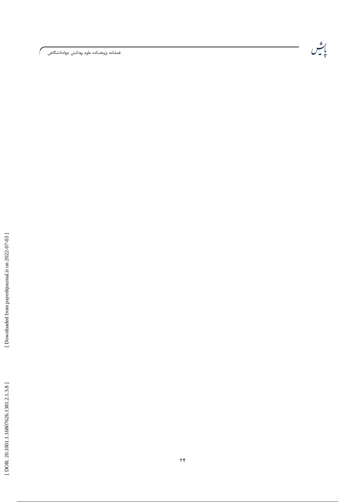فصلنامه پژوهشکده علوم بهداشتی جهاددانشگاهی